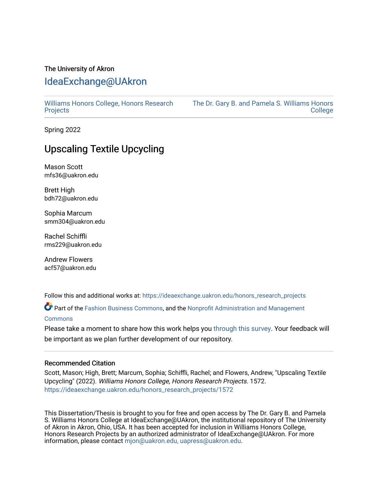# The University of Akron [IdeaExchange@UAkron](https://ideaexchange.uakron.edu/)

[Williams Honors College, Honors Research](https://ideaexchange.uakron.edu/honors_research_projects)  **[Projects](https://ideaexchange.uakron.edu/honors_research_projects)** 

[The Dr. Gary B. and Pamela S. Williams Honors](https://ideaexchange.uakron.edu/honorscollege_ideas)  **College** 

Spring 2022

# Upscaling Textile Upcycling

Mason Scott mfs36@uakron.edu

Brett High bdh72@uakron.edu

Sophia Marcum smm304@uakron.edu

Rachel Schiffli rms229@uakron.edu

Andrew Flowers acf57@uakron.edu

Follow this and additional works at: [https://ideaexchange.uakron.edu/honors\\_research\\_projects](https://ideaexchange.uakron.edu/honors_research_projects?utm_source=ideaexchange.uakron.edu%2Fhonors_research_projects%2F1572&utm_medium=PDF&utm_campaign=PDFCoverPages) 

Part of the [Fashion Business Commons,](http://network.bepress.com/hgg/discipline/1147?utm_source=ideaexchange.uakron.edu%2Fhonors_research_projects%2F1572&utm_medium=PDF&utm_campaign=PDFCoverPages) and the [Nonprofit Administration and Management](http://network.bepress.com/hgg/discipline/1228?utm_source=ideaexchange.uakron.edu%2Fhonors_research_projects%2F1572&utm_medium=PDF&utm_campaign=PDFCoverPages)  **[Commons](http://network.bepress.com/hgg/discipline/1228?utm_source=ideaexchange.uakron.edu%2Fhonors_research_projects%2F1572&utm_medium=PDF&utm_campaign=PDFCoverPages)** 

Please take a moment to share how this work helps you [through this survey](http://survey.az1.qualtrics.com/SE/?SID=SV_eEVH54oiCbOw05f&URL=https://ideaexchange.uakron.edu/honors_research_projects/1572). Your feedback will be important as we plan further development of our repository.

# Recommended Citation

Scott, Mason; High, Brett; Marcum, Sophia; Schiffli, Rachel; and Flowers, Andrew, "Upscaling Textile Upcycling" (2022). Williams Honors College, Honors Research Projects. 1572. [https://ideaexchange.uakron.edu/honors\\_research\\_projects/1572](https://ideaexchange.uakron.edu/honors_research_projects/1572?utm_source=ideaexchange.uakron.edu%2Fhonors_research_projects%2F1572&utm_medium=PDF&utm_campaign=PDFCoverPages) 

This Dissertation/Thesis is brought to you for free and open access by The Dr. Gary B. and Pamela S. Williams Honors College at IdeaExchange@UAkron, the institutional repository of The University of Akron in Akron, Ohio, USA. It has been accepted for inclusion in Williams Honors College, Honors Research Projects by an authorized administrator of IdeaExchange@UAkron. For more information, please contact [mjon@uakron.edu, uapress@uakron.edu.](mailto:mjon@uakron.edu,%20uapress@uakron.edu)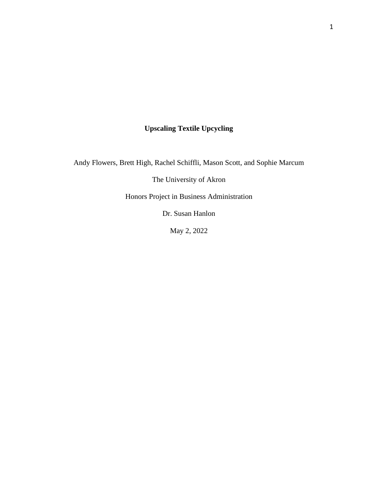# **Upscaling Textile Upcycling**

Andy Flowers, Brett High, Rachel Schiffli, Mason Scott, and Sophie Marcum

The University of Akron

Honors Project in Business Administration

Dr. Susan Hanlon

May 2, 2022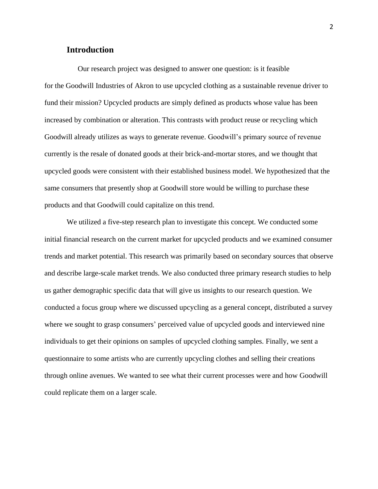# **Introduction**

Our research project was designed to answer one question: is it feasible for the Goodwill Industries of Akron to use upcycled clothing as a sustainable revenue driver to fund their mission? Upcycled products are simply defined as products whose value has been increased by combination or alteration. This contrasts with product reuse or recycling which Goodwill already utilizes as ways to generate revenue. Goodwill's primary source of revenue currently is the resale of donated goods at their brick-and-mortar stores, and we thought that upcycled goods were consistent with their established business model. We hypothesized that the same consumers that presently shop at Goodwill store would be willing to purchase these products and that Goodwill could capitalize on this trend.

We utilized a five-step research plan to investigate this concept. We conducted some initial financial research on the current market for upcycled products and we examined consumer trends and market potential. This research was primarily based on secondary sources that observe and describe large-scale market trends. We also conducted three primary research studies to help us gather demographic specific data that will give us insights to our research question. We conducted a focus group where we discussed upcycling as a general concept, distributed a survey where we sought to grasp consumers' perceived value of upcycled goods and interviewed nine individuals to get their opinions on samples of upcycled clothing samples. Finally, we sent a questionnaire to some artists who are currently upcycling clothes and selling their creations through online avenues. We wanted to see what their current processes were and how Goodwill could replicate them on a larger scale.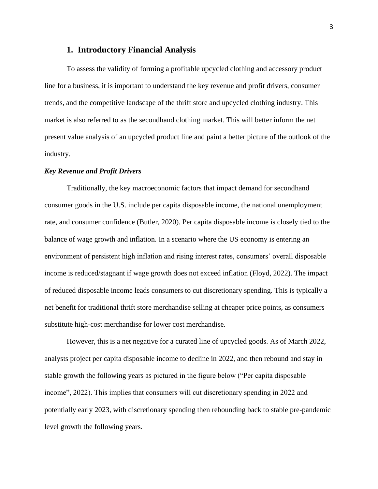## **1. Introductory Financial Analysis**

To assess the validity of forming a profitable upcycled clothing and accessory product line for a business, it is important to understand the key revenue and profit drivers, consumer trends, and the competitive landscape of the thrift store and upcycled clothing industry. This market is also referred to as the secondhand clothing market. This will better inform the net present value analysis of an upcycled product line and paint a better picture of the outlook of the industry.

### *Key Revenue and Profit Drivers*

Traditionally, the key macroeconomic factors that impact demand for secondhand consumer goods in the U.S. include per capita disposable income, the national unemployment rate, and consumer confidence (Butler, 2020). Per capita disposable income is closely tied to the balance of wage growth and inflation. In a scenario where the US economy is entering an environment of persistent high inflation and rising interest rates, consumers' overall disposable income is reduced/stagnant if wage growth does not exceed inflation (Floyd, 2022). The impact of reduced disposable income leads consumers to cut discretionary spending. This is typically a net benefit for traditional thrift store merchandise selling at cheaper price points, as consumers substitute high-cost merchandise for lower cost merchandise.

However, this is a net negative for a curated line of upcycled goods. As of March 2022, analysts project per capita disposable income to decline in 2022, and then rebound and stay in stable growth the following years as pictured in the figure below ("Per capita disposable income", 2022). This implies that consumers will cut discretionary spending in 2022 and potentially early 2023, with discretionary spending then rebounding back to stable pre-pandemic level growth the following years.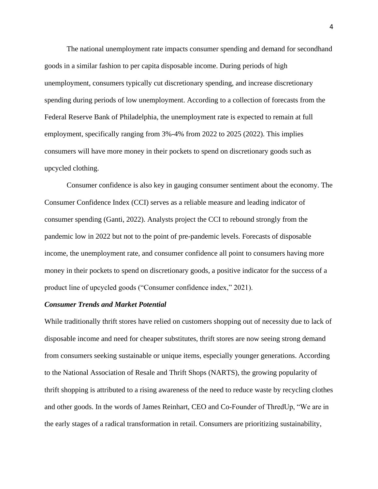The national unemployment rate impacts consumer spending and demand for secondhand goods in a similar fashion to per capita disposable income. During periods of high unemployment, consumers typically cut discretionary spending, and increase discretionary spending during periods of low unemployment. According to a collection of forecasts from the Federal Reserve Bank of Philadelphia, the unemployment rate is expected to remain at full employment, specifically ranging from 3%-4% from 2022 to 2025 (2022). This implies consumers will have more money in their pockets to spend on discretionary goods such as upcycled clothing.

Consumer confidence is also key in gauging consumer sentiment about the economy. The Consumer Confidence Index (CCI) serves as a reliable measure and leading indicator of consumer spending (Ganti, 2022). Analysts project the CCI to rebound strongly from the pandemic low in 2022 but not to the point of pre-pandemic levels. Forecasts of disposable income, the unemployment rate, and consumer confidence all point to consumers having more money in their pockets to spend on discretionary goods, a positive indicator for the success of a product line of upcycled goods ("Consumer confidence index," 2021).

#### *Consumer Trends and Market Potential*

While traditionally thrift stores have relied on customers shopping out of necessity due to lack of disposable income and need for cheaper substitutes, thrift stores are now seeing strong demand from consumers seeking sustainable or unique items, especially younger generations. According to the National Association of Resale and Thrift Shops (NARTS), the growing popularity of thrift shopping is attributed to a rising awareness of the need to reduce waste by recycling clothes and other goods. In the words of James Reinhart, CEO and Co-Founder of ThredUp, "We are in the early stages of a radical transformation in retail. Consumers are prioritizing sustainability,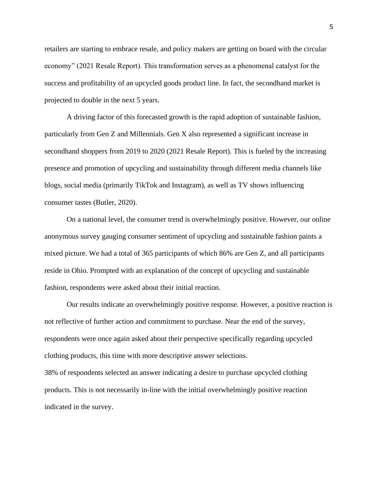retailers are starting to embrace resale, and policy makers are getting on board with the circular economy" (2021 Resale Report). This transformation serves as a phenomenal catalyst for the success and profitability of an upcycled goods product line. In fact, the secondhand market is projected to double in the next 5 years.

A driving factor of this forecasted growth is the rapid adoption of sustainable fashion, particularly from Gen Z and Millennials. Gen X also represented a significant increase in secondhand shoppers from 2019 to 2020 (2021 Resale Report). This is fueled by the increasing presence and promotion of upcycling and sustainability through different media channels like blogs, social media (primarily TikTok and Instagram), as well as TV shows influencing consumer tastes (Butler, 2020).

On a national level, the consumer trend is overwhelmingly positive. However, our online anonymous survey gauging consumer sentiment of upcycling and sustainable fashion paints a mixed picture. We had a total of 365 participants of which 86% are Gen Z, and all participants reside in Ohio. Prompted with an explanation of the concept of upcycling and sustainable fashion, respondents were asked about their initial reaction.

Our results indicate an overwhelmingly positive response. However, a positive reaction is not reflective of further action and commitment to purchase. Near the end of the survey, respondents were once again asked about their perspective specifically regarding upcycled clothing products, this time with more descriptive answer selections. 38% of respondents selected an answer indicating a desire to purchase upcycled clothing

products. This is not necessarily in-line with the initial overwhelmingly positive reaction

indicated in the survey.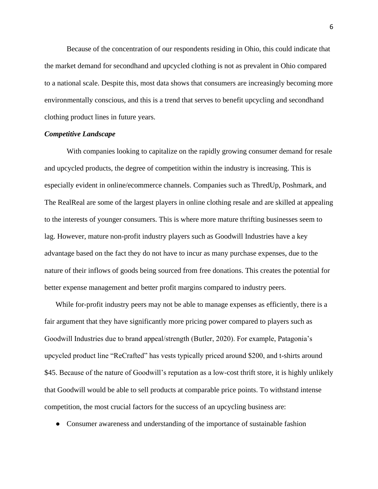Because of the concentration of our respondents residing in Ohio, this could indicate that the market demand for secondhand and upcycled clothing is not as prevalent in Ohio compared to a national scale. Despite this, most data shows that consumers are increasingly becoming more environmentally conscious, and this is a trend that serves to benefit upcycling and secondhand clothing product lines in future years.

### *Competitive Landscape*

With companies looking to capitalize on the rapidly growing consumer demand for resale and upcycled products, the degree of competition within the industry is increasing. This is especially evident in online/ecommerce channels. Companies such as ThredUp, Poshmark, and The RealReal are some of the largest players in online clothing resale and are skilled at appealing to the interests of younger consumers. This is where more mature thrifting businesses seem to lag. However, mature non-profit industry players such as Goodwill Industries have a key advantage based on the fact they do not have to incur as many purchase expenses, due to the nature of their inflows of goods being sourced from free donations. This creates the potential for better expense management and better profit margins compared to industry peers.

While for-profit industry peers may not be able to manage expenses as efficiently, there is a fair argument that they have significantly more pricing power compared to players such as Goodwill Industries due to brand appeal/strength (Butler, 2020). For example, Patagonia's upcycled product line "ReCrafted" has vests typically priced around \$200, and t-shirts around \$45. Because of the nature of Goodwill's reputation as a low-cost thrift store, it is highly unlikely that Goodwill would be able to sell products at comparable price points. To withstand intense competition, the most crucial factors for the success of an upcycling business are:

• Consumer awareness and understanding of the importance of sustainable fashion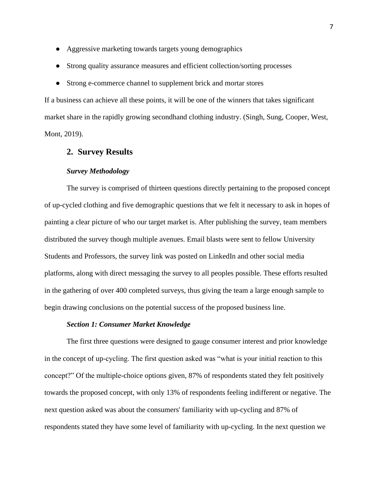- Aggressive marketing towards targets young demographics
- Strong quality assurance measures and efficient collection/sorting processes
- Strong e-commerce channel to supplement brick and mortar stores

If a business can achieve all these points, it will be one of the winners that takes significant market share in the rapidly growing secondhand clothing industry. (Singh, Sung, Cooper, West, Mont, 2019).

## **2. Survey Results**

## *Survey Methodology*

The survey is comprised of thirteen questions directly pertaining to the proposed concept of up-cycled clothing and five demographic questions that we felt it necessary to ask in hopes of painting a clear picture of who our target market is. After publishing the survey, team members distributed the survey though multiple avenues. Email blasts were sent to fellow University Students and Professors, the survey link was posted on LinkedIn and other social media platforms, along with direct messaging the survey to all peoples possible. These efforts resulted in the gathering of over 400 completed surveys, thus giving the team a large enough sample to begin drawing conclusions on the potential success of the proposed business line.

## *Section 1: Consumer Market Knowledge*

The first three questions were designed to gauge consumer interest and prior knowledge in the concept of up-cycling. The first question asked was "what is your initial reaction to this concept?" Of the multiple-choice options given, 87% of respondents stated they felt positively towards the proposed concept, with only 13% of respondents feeling indifferent or negative. The next question asked was about the consumers' familiarity with up-cycling and 87% of respondents stated they have some level of familiarity with up-cycling. In the next question we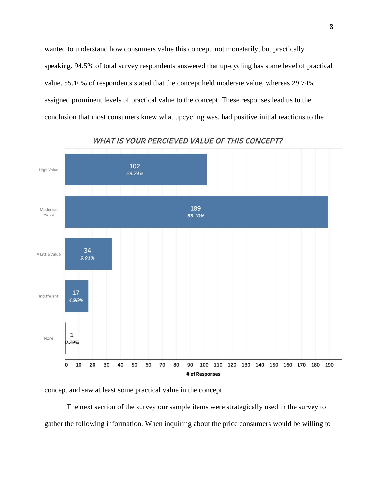wanted to understand how consumers value this concept, not monetarily, but practically speaking. 94.5% of total survey respondents answered that up-cycling has some level of practical value. 55.10% of respondents stated that the concept held moderate value, whereas 29.74% assigned prominent levels of practical value to the concept. These responses lead us to the conclusion that most consumers knew what upcycling was, had positive initial reactions to the



**WHAT IS YOUR PERCIEVED VALUE OF THIS CONCEPT?** 

concept and saw at least some practical value in the concept.

The next section of the survey our sample items were strategically used in the survey to gather the following information. When inquiring about the price consumers would be willing to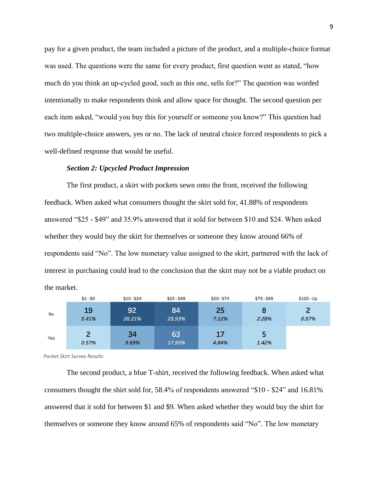pay for a given product, the team included a picture of the product, and a multiple-choice format was used. The questions were the same for every product, first question went as stated, "how much do you think an up-cycled good, such as this one, sells for?" The question was worded intentionally to make respondents think and allow space for thought. The second question per each item asked, "would you buy this for yourself or someone you know?" This question had two multiple-choice answers, yes or no. The lack of neutral choice forced respondents to pick a well-defined response that would be useful.

#### *Section 2: Upcycled Product Impression*

The first product, a skirt with pockets sewn onto the front, received the following feedback. When asked what consumers thought the skirt sold for, 41.88% of respondents answered "\$25 - \$49" and 35.9% answered that it sold for between \$10 and \$24. When asked whether they would buy the skirt for themselves or someone they know around 66% of respondents said "No". The low monetary value assigned to the skirt, partnered with the lack of interest in purchasing could lead to the conclusion that the skirt may not be a viable product on the market.

|     | $$1 - $9$               | $$10 - $24$  | $$25 - $49$  | $$50 - $74$ | $$75 - $99$ | $$100 - Up$ |
|-----|-------------------------|--------------|--------------|-------------|-------------|-------------|
| No  | 19<br>5.41%             | 92<br>26.21% | 84<br>23.93% | 25<br>7.12% | 8<br>2.28%  | 0.57%       |
| Yes | $\overline{2}$<br>0.57% | 34<br>9.69%  | 63<br>17.95% | 17<br>4.84% | 5<br>1.42%  |             |

*Pocket Skirt Survey Results*

The second product, a blue T-shirt, received the following feedback. When asked what consumers thought the shirt sold for, 58.4% of respondents answered "\$10 - \$24" and 16.81% answered that it sold for between \$1 and \$9. When asked whether they would buy the shirt for themselves or someone they know around 65% of respondents said "No". The low monetary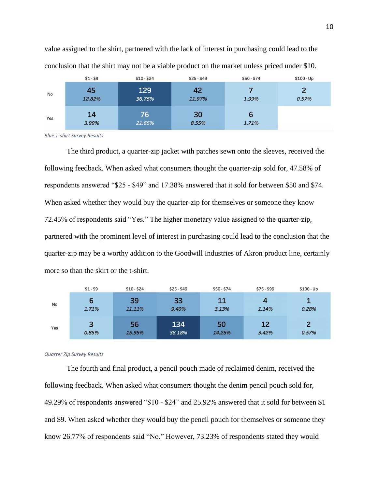|     | $$1 - $9$    | $$10 - $24$   | $$25 - $49$  | $$50 - $74$ | $$100 - Up$ |
|-----|--------------|---------------|--------------|-------------|-------------|
| No  | 45<br>12.82% | 129<br>36.75% | 42<br>11.97% | 1.99%       | 0.57%       |
| Yes | 14<br>3.99%  | 76<br>21.65%  | 30<br>8.55%  | b<br>1.71%  |             |

value assigned to the shirt, partnered with the lack of interest in purchasing could lead to the conclusion that the shirt may not be a viable product on the market unless priced under \$10.

*Blue T-shirt Survey Results*

The third product, a quarter-zip jacket with patches sewn onto the sleeves, received the following feedback. When asked what consumers thought the quarter-zip sold for, 47.58% of respondents answered "\$25 - \$49" and 17.38% answered that it sold for between \$50 and \$74. When asked whether they would buy the quarter-zip for themselves or someone they know 72.45% of respondents said "Yes." The higher monetary value assigned to the quarter-zip, partnered with the prominent level of interest in purchasing could lead to the conclusion that the quarter-zip may be a worthy addition to the Goodwill Industries of Akron product line, certainly more so than the skirt or the t-shirt.

|     | $$1 - $9$  | $$10 - $24$  | $$25 - $49$   | $$50 - $74$  | $$75 - $99$ | $$100 - Up$ |
|-----|------------|--------------|---------------|--------------|-------------|-------------|
| No  | 6<br>1.71% | 39<br>11.11% | 33<br>9.40%   | 11<br>3.13%  | 1.14%       | 0.28%       |
| Yes | 3<br>0.85% | 56<br>15.95% | 134<br>38.18% | 50<br>14.25% | 12<br>3.42% | 0.57%       |

#### *Quarter Zip Survey Results*

The fourth and final product, a pencil pouch made of reclaimed denim, received the following feedback. When asked what consumers thought the denim pencil pouch sold for, 49.29% of respondents answered "\$10 - \$24" and 25.92% answered that it sold for between \$1 and \$9. When asked whether they would buy the pencil pouch for themselves or someone they know 26.77% of respondents said "No." However, 73.23% of respondents stated they would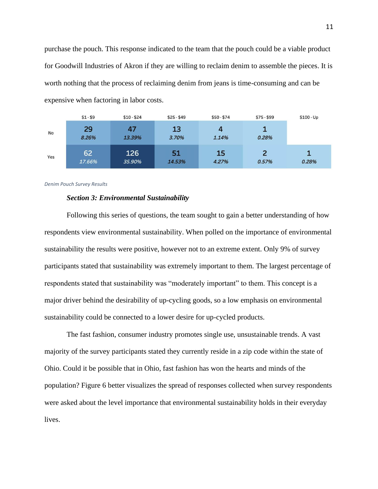purchase the pouch. This response indicated to the team that the pouch could be a viable product for Goodwill Industries of Akron if they are willing to reclaim denim to assemble the pieces. It is worth nothing that the process of reclaiming denim from jeans is time-consuming and can be expensive when factoring in labor costs.

|     | $$1 - $9$    | $$10 - $24$   | $$25 - $49$  | $$50 - $74$ | $$75 - $99$ | $$100 - Up$ |
|-----|--------------|---------------|--------------|-------------|-------------|-------------|
| No  | 29<br>8.26%  | 47<br>13.39%  | 13<br>3.70%  | 4<br>1.14%  | 0.28%       |             |
| Yes | 62<br>17.66% | 126<br>35.90% | 51<br>14.53% | 15<br>4.27% | 0.57%       | 0.28%       |

*Denim Pouch Survey Results*

### *Section 3: Environmental Sustainability*

Following this series of questions, the team sought to gain a better understanding of how respondents view environmental sustainability. When polled on the importance of environmental sustainability the results were positive, however not to an extreme extent. Only 9% of survey participants stated that sustainability was extremely important to them. The largest percentage of respondents stated that sustainability was "moderately important" to them. This concept is a major driver behind the desirability of up-cycling goods, so a low emphasis on environmental sustainability could be connected to a lower desire for up-cycled products.

The fast fashion, consumer industry promotes single use, unsustainable trends. A vast majority of the survey participants stated they currently reside in a zip code within the state of Ohio. Could it be possible that in Ohio, fast fashion has won the hearts and minds of the population? Figure 6 better visualizes the spread of responses collected when survey respondents were asked about the level importance that environmental sustainability holds in their everyday lives.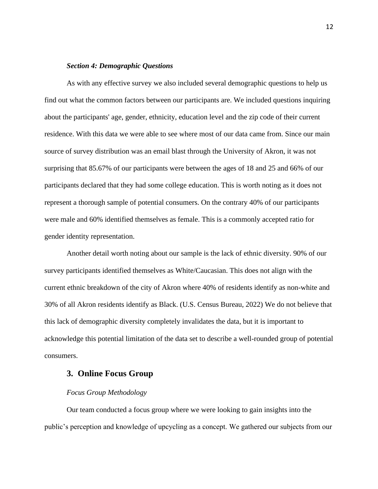## *Section 4: Demographic Questions*

As with any effective survey we also included several demographic questions to help us find out what the common factors between our participants are. We included questions inquiring about the participants' age, gender, ethnicity, education level and the zip code of their current residence. With this data we were able to see where most of our data came from. Since our main source of survey distribution was an email blast through the University of Akron, it was not surprising that 85.67% of our participants were between the ages of 18 and 25 and 66% of our participants declared that they had some college education. This is worth noting as it does not represent a thorough sample of potential consumers. On the contrary 40% of our participants were male and 60% identified themselves as female. This is a commonly accepted ratio for gender identity representation.

Another detail worth noting about our sample is the lack of ethnic diversity. 90% of our survey participants identified themselves as White/Caucasian. This does not align with the current ethnic breakdown of the city of Akron where 40% of residents identify as non-white and 30% of all Akron residents identify as Black. (U.S. Census Bureau, 2022) We do not believe that this lack of demographic diversity completely invalidates the data, but it is important to acknowledge this potential limitation of the data set to describe a well-rounded group of potential consumers.

## **3. Online Focus Group**

#### *Focus Group Methodology*

Our team conducted a focus group where we were looking to gain insights into the public's perception and knowledge of upcycling as a concept. We gathered our subjects from our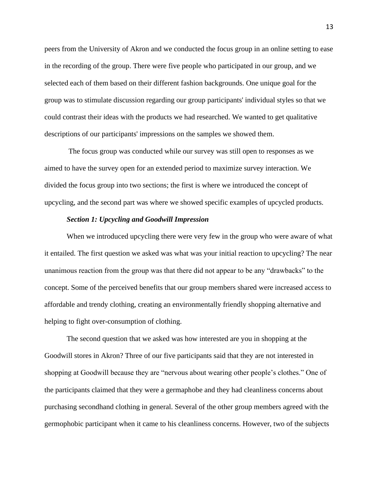peers from the University of Akron and we conducted the focus group in an online setting to ease in the recording of the group. There were five people who participated in our group, and we selected each of them based on their different fashion backgrounds. One unique goal for the group was to stimulate discussion regarding our group participants' individual styles so that we could contrast their ideas with the products we had researched. We wanted to get qualitative descriptions of our participants' impressions on the samples we showed them.

The focus group was conducted while our survey was still open to responses as we aimed to have the survey open for an extended period to maximize survey interaction. We divided the focus group into two sections; the first is where we introduced the concept of upcycling, and the second part was where we showed specific examples of upcycled products.

## *Section 1: Upcycling and Goodwill Impression*

When we introduced upcycling there were very few in the group who were aware of what it entailed. The first question we asked was what was your initial reaction to upcycling? The near unanimous reaction from the group was that there did not appear to be any "drawbacks" to the concept. Some of the perceived benefits that our group members shared were increased access to affordable and trendy clothing, creating an environmentally friendly shopping alternative and helping to fight over-consumption of clothing.

The second question that we asked was how interested are you in shopping at the Goodwill stores in Akron? Three of our five participants said that they are not interested in shopping at Goodwill because they are "nervous about wearing other people's clothes." One of the participants claimed that they were a germaphobe and they had cleanliness concerns about purchasing secondhand clothing in general. Several of the other group members agreed with the germophobic participant when it came to his cleanliness concerns. However, two of the subjects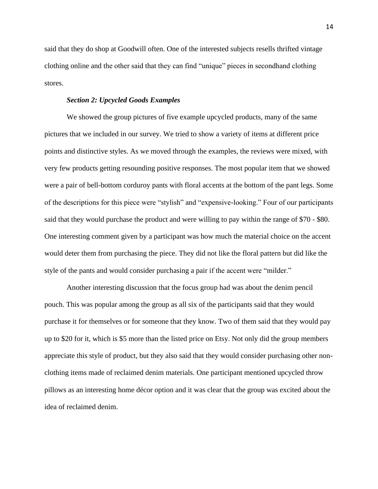said that they do shop at Goodwill often. One of the interested subjects resells thrifted vintage clothing online and the other said that they can find "unique" pieces in secondhand clothing stores.

#### *Section 2: Upcycled Goods Examples*

We showed the group pictures of five example upcycled products, many of the same pictures that we included in our survey. We tried to show a variety of items at different price points and distinctive styles. As we moved through the examples, the reviews were mixed, with very few products getting resounding positive responses. The most popular item that we showed were a pair of bell-bottom corduroy pants with floral accents at the bottom of the pant legs. Some of the descriptions for this piece were "stylish" and "expensive-looking." Four of our participants said that they would purchase the product and were willing to pay within the range of \$70 - \$80. One interesting comment given by a participant was how much the material choice on the accent would deter them from purchasing the piece. They did not like the floral pattern but did like the style of the pants and would consider purchasing a pair if the accent were "milder."

Another interesting discussion that the focus group had was about the denim pencil pouch. This was popular among the group as all six of the participants said that they would purchase it for themselves or for someone that they know. Two of them said that they would pay up to \$20 for it, which is \$5 more than the listed price on Etsy. Not only did the group members appreciate this style of product, but they also said that they would consider purchasing other nonclothing items made of reclaimed denim materials. One participant mentioned upcycled throw pillows as an interesting home décor option and it was clear that the group was excited about the idea of reclaimed denim.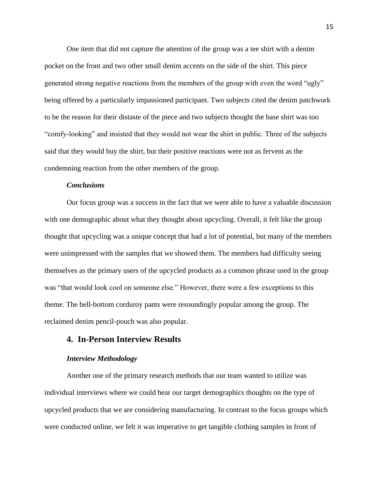One item that did not capture the attention of the group was a tee shirt with a denim pocket on the front and two other small denim accents on the side of the shirt. This piece generated strong negative reactions from the members of the group with even the word "ugly" being offered by a particularly impassioned participant. Two subjects cited the denim patchwork to be the reason for their distaste of the piece and two subjects thought the base shirt was too "comfy-looking" and insisted that they would not wear the shirt in public. Three of the subjects said that they would buy the shirt, but their positive reactions were not as fervent as the condemning reaction from the other members of the group.

#### *Conclusions*

Our focus group was a success in the fact that we were able to have a valuable discussion with one demographic about what they thought about upcycling. Overall, it felt like the group thought that upcycling was a unique concept that had a lot of potential, but many of the members were unimpressed with the samples that we showed them. The members had difficulty seeing themselves as the primary users of the upcycled products as a common phrase used in the group was "that would look cool on someone else." However, there were a few exceptions to this theme. The bell-bottom corduroy pants were resoundingly popular among the group. The reclaimed denim pencil-pouch was also popular.

# **4. In-Person Interview Results**

#### *Interview Methodology*

Another one of the primary research methods that our team wanted to utilize was individual interviews where we could hear our target demographics thoughts on the type of upcycled products that we are considering manufacturing. In contrast to the focus groups which were conducted online, we felt it was imperative to get tangible clothing samples in front of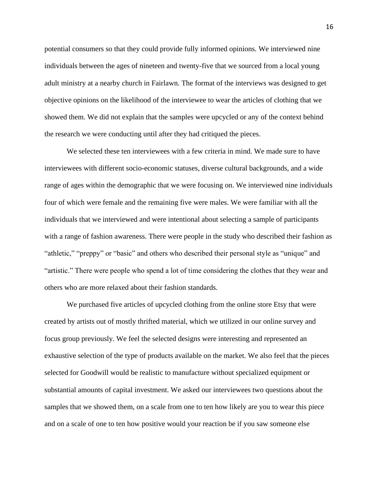potential consumers so that they could provide fully informed opinions. We interviewed nine individuals between the ages of nineteen and twenty-five that we sourced from a local young adult ministry at a nearby church in Fairlawn. The format of the interviews was designed to get objective opinions on the likelihood of the interviewee to wear the articles of clothing that we showed them. We did not explain that the samples were upcycled or any of the context behind the research we were conducting until after they had critiqued the pieces.

We selected these ten interviewees with a few criteria in mind. We made sure to have interviewees with different socio-economic statuses, diverse cultural backgrounds, and a wide range of ages within the demographic that we were focusing on. We interviewed nine individuals four of which were female and the remaining five were males. We were familiar with all the individuals that we interviewed and were intentional about selecting a sample of participants with a range of fashion awareness. There were people in the study who described their fashion as "athletic," "preppy" or "basic" and others who described their personal style as "unique" and "artistic." There were people who spend a lot of time considering the clothes that they wear and others who are more relaxed about their fashion standards.

We purchased five articles of upcycled clothing from the online store Etsy that were created by artists out of mostly thrifted material, which we utilized in our online survey and focus group previously. We feel the selected designs were interesting and represented an exhaustive selection of the type of products available on the market. We also feel that the pieces selected for Goodwill would be realistic to manufacture without specialized equipment or substantial amounts of capital investment. We asked our interviewees two questions about the samples that we showed them, on a scale from one to ten how likely are you to wear this piece and on a scale of one to ten how positive would your reaction be if you saw someone else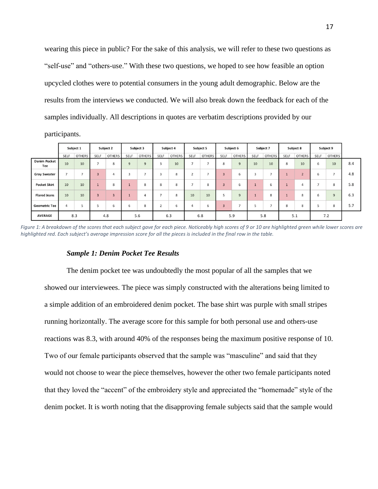wearing this piece in public? For the sake of this analysis, we will refer to these two questions as "self-use" and "others-use." With these two questions, we hoped to see how feasible an option upcycled clothes were to potential consumers in the young adult demographic. Below are the results from the interviews we conducted. We will also break down the feedback for each of the samples individually. All descriptions in quotes are verbatim descriptions provided by our

participants.

|                            |      | Subject 1      |                          | Subject 2      |                | Subject 3                |                | Subject 4 |      | Subject 5                |                | Subject 6      |        | Subject 7     |      | Subject 8      |                          | Subject 9      |     |
|----------------------------|------|----------------|--------------------------|----------------|----------------|--------------------------|----------------|-----------|------|--------------------------|----------------|----------------|--------|---------------|------|----------------|--------------------------|----------------|-----|
|                            | SELF | <b>OTHERS</b>  | SELF                     | OTHERS         | SELF           | <b>OTHERS</b>            | SELF           | OTHERS    | SELF | <b>OTHERS</b>            | SELF           | <b>OTHERS</b>  | SELF   | <b>OTHERS</b> | SELF | <b>OTHERS</b>  | SELF                     | <b>OTHERS</b>  |     |
| <b>Denim Pocket</b><br>Tee | 10   | 10             | $\overline{\phantom{a}}$ | 8              | $\overline{9}$ | $\overline{9}$           | $\overline{3}$ | 10        | -    | $\overline{\phantom{a}}$ | 8              | $\overline{9}$ | 10     | 10            | 8    | 10             | 6                        | 10             | 8.4 |
| <b>Gray Sweater</b>        | E.   | $\overline{ }$ | $\overline{3}$           | 4              | 3              | $\overline{\phantom{a}}$ | 3              | 8         | ×,   | $\overline{\phantom{a}}$ | $\overline{3}$ | 6              | $\sim$ | -             |      | $\overline{2}$ | 6                        | $\rightarrow$  | 4.8 |
| <b>Pocket Skirt</b>        | 10   | 10             |                          | 8              |                | 8                        | 8              | 8         | -    | 8                        | $\overline{3}$ | 6              |        | 6             |      | $\overline{4}$ | $\overline{\phantom{a}}$ | 8              | 5.8 |
| <b>Flared Jeans</b>        | 10   | 10             | $\overline{3}$           | $\overline{3}$ |                | $\overline{4}$           | -              | 8         | 10   | 10                       | 5              | $\overline{9}$ |        | 8             |      | 8              | 6                        | $\overline{9}$ | 6.3 |
| <b>Geometric Tee</b>       | 4    | 5              | 5                        | 6              | 6              | 8                        | $\overline{2}$ | 6         | 4    | 6                        | $\overline{3}$ | -              |        | -             | 8    | 8              | 5                        | 8              | 5.7 |
| <b>AVERAGE</b>             |      | 8.3            |                          | 4.8            |                | 5.6                      |                | 6.3       |      | 6.8                      |                | 5.9            |        | 5.8           |      | 5.1            |                          | 7.2            |     |

Figure 1: A breakdown of the scores that each subject gave for each piece. Noticeably high scores of 9 or 10 are highlighted green while lower scores are *highlighted red. Each subject's average impression score for all the pieces is included in the final row in the table.*

#### *Sample 1: Denim Pocket Tee Results*

The denim pocket tee was undoubtedly the most popular of all the samples that we showed our interviewees. The piece was simply constructed with the alterations being limited to a simple addition of an embroidered denim pocket. The base shirt was purple with small stripes running horizontally. The average score for this sample for both personal use and others-use reactions was 8.3, with around 40% of the responses being the maximum positive response of 10. Two of our female participants observed that the sample was "masculine" and said that they would not choose to wear the piece themselves, however the other two female participants noted that they loved the "accent" of the embroidery style and appreciated the "homemade" style of the denim pocket. It is worth noting that the disapproving female subjects said that the sample would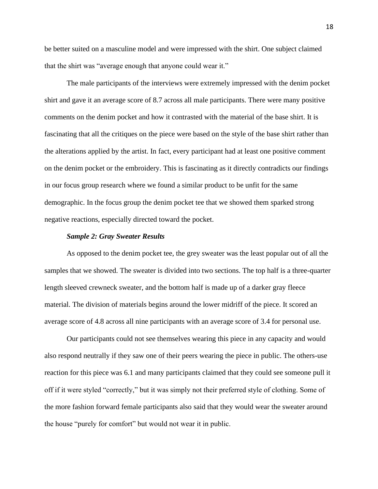be better suited on a masculine model and were impressed with the shirt. One subject claimed that the shirt was "average enough that anyone could wear it."

The male participants of the interviews were extremely impressed with the denim pocket shirt and gave it an average score of 8.7 across all male participants. There were many positive comments on the denim pocket and how it contrasted with the material of the base shirt. It is fascinating that all the critiques on the piece were based on the style of the base shirt rather than the alterations applied by the artist. In fact, every participant had at least one positive comment on the denim pocket or the embroidery. This is fascinating as it directly contradicts our findings in our focus group research where we found a similar product to be unfit for the same demographic. In the focus group the denim pocket tee that we showed them sparked strong negative reactions, especially directed toward the pocket.

#### *Sample 2: Gray Sweater Results*

As opposed to the denim pocket tee, the grey sweater was the least popular out of all the samples that we showed. The sweater is divided into two sections. The top half is a three-quarter length sleeved crewneck sweater, and the bottom half is made up of a darker gray fleece material. The division of materials begins around the lower midriff of the piece. It scored an average score of 4.8 across all nine participants with an average score of 3.4 for personal use.

Our participants could not see themselves wearing this piece in any capacity and would also respond neutrally if they saw one of their peers wearing the piece in public. The others-use reaction for this piece was 6.1 and many participants claimed that they could see someone pull it off if it were styled "correctly," but it was simply not their preferred style of clothing. Some of the more fashion forward female participants also said that they would wear the sweater around the house "purely for comfort" but would not wear it in public.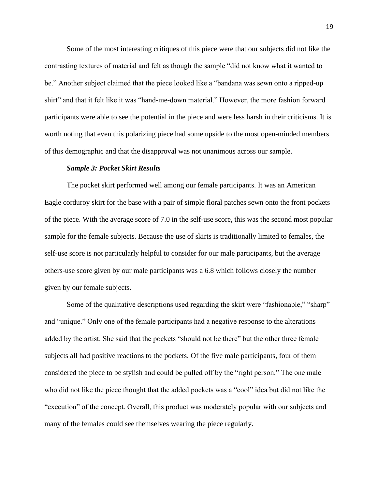Some of the most interesting critiques of this piece were that our subjects did not like the contrasting textures of material and felt as though the sample "did not know what it wanted to be." Another subject claimed that the piece looked like a "bandana was sewn onto a ripped-up shirt" and that it felt like it was "hand-me-down material." However, the more fashion forward participants were able to see the potential in the piece and were less harsh in their criticisms. It is worth noting that even this polarizing piece had some upside to the most open-minded members of this demographic and that the disapproval was not unanimous across our sample.

#### *Sample 3: Pocket Skirt Results*

The pocket skirt performed well among our female participants. It was an American Eagle corduroy skirt for the base with a pair of simple floral patches sewn onto the front pockets of the piece. With the average score of 7.0 in the self-use score, this was the second most popular sample for the female subjects. Because the use of skirts is traditionally limited to females, the self-use score is not particularly helpful to consider for our male participants, but the average others-use score given by our male participants was a 6.8 which follows closely the number given by our female subjects.

Some of the qualitative descriptions used regarding the skirt were "fashionable," "sharp" and "unique." Only one of the female participants had a negative response to the alterations added by the artist. She said that the pockets "should not be there" but the other three female subjects all had positive reactions to the pockets. Of the five male participants, four of them considered the piece to be stylish and could be pulled off by the "right person." The one male who did not like the piece thought that the added pockets was a "cool" idea but did not like the "execution" of the concept. Overall, this product was moderately popular with our subjects and many of the females could see themselves wearing the piece regularly.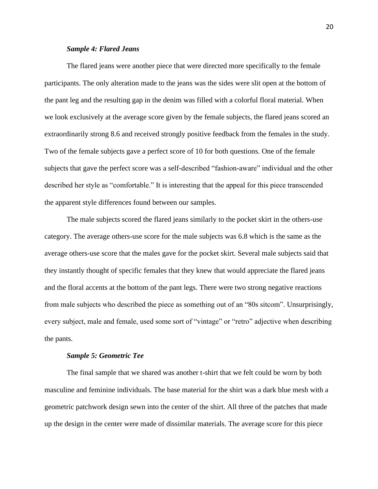## *Sample 4: Flared Jeans*

The flared jeans were another piece that were directed more specifically to the female participants. The only alteration made to the jeans was the sides were slit open at the bottom of the pant leg and the resulting gap in the denim was filled with a colorful floral material. When we look exclusively at the average score given by the female subjects, the flared jeans scored an extraordinarily strong 8.6 and received strongly positive feedback from the females in the study. Two of the female subjects gave a perfect score of 10 for both questions. One of the female subjects that gave the perfect score was a self-described "fashion-aware" individual and the other described her style as "comfortable." It is interesting that the appeal for this piece transcended the apparent style differences found between our samples.

The male subjects scored the flared jeans similarly to the pocket skirt in the others-use category. The average others-use score for the male subjects was 6.8 which is the same as the average others-use score that the males gave for the pocket skirt. Several male subjects said that they instantly thought of specific females that they knew that would appreciate the flared jeans and the floral accents at the bottom of the pant legs. There were two strong negative reactions from male subjects who described the piece as something out of an "80s sitcom". Unsurprisingly, every subject, male and female, used some sort of "vintage" or "retro" adjective when describing the pants.

#### *Sample 5: Geometric Tee*

The final sample that we shared was another t-shirt that we felt could be worn by both masculine and feminine individuals. The base material for the shirt was a dark blue mesh with a geometric patchwork design sewn into the center of the shirt. All three of the patches that made up the design in the center were made of dissimilar materials. The average score for this piece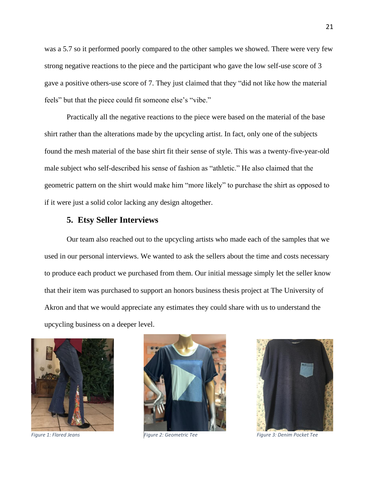was a 5.7 so it performed poorly compared to the other samples we showed. There were very few strong negative reactions to the piece and the participant who gave the low self-use score of 3 gave a positive others-use score of 7. They just claimed that they "did not like how the material feels" but that the piece could fit someone else's "vibe."

Practically all the negative reactions to the piece were based on the material of the base shirt rather than the alterations made by the upcycling artist. In fact, only one of the subjects found the mesh material of the base shirt fit their sense of style. This was a twenty-five-year-old male subject who self-described his sense of fashion as "athletic." He also claimed that the geometric pattern on the shirt would make him "more likely" to purchase the shirt as opposed to if it were just a solid color lacking any design altogether.

# **5. Etsy Seller Interviews**

Our team also reached out to the upcycling artists who made each of the samples that we used in our personal interviews. We wanted to ask the sellers about the time and costs necessary to produce each product we purchased from them. Our initial message simply let the seller know that their item was purchased to support an honors business thesis project at The University of Akron and that we would appreciate any estimates they could share with us to understand the upcycling business on a deeper level.







*Figure 1: Flared Jeans Figure 2: Geometric Tee Figure 3: Denim Pocket Tee*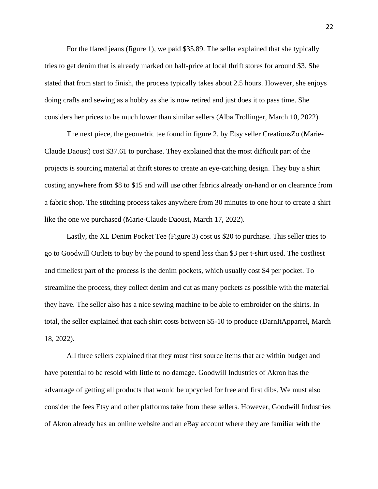For the flared jeans (figure 1), we paid \$35.89. The seller explained that she typically tries to get denim that is already marked on half-price at local thrift stores for around \$3. She stated that from start to finish, the process typically takes about 2.5 hours. However, she enjoys doing crafts and sewing as a hobby as she is now retired and just does it to pass time. She considers her prices to be much lower than similar sellers (Alba Trollinger, March 10, 2022).

The next piece, the geometric tee found in figure 2, by Etsy seller CreationsZo (Marie-Claude Daoust) cost \$37.61 to purchase. They explained that the most difficult part of the projects is sourcing material at thrift stores to create an eye-catching design. They buy a shirt costing anywhere from \$8 to \$15 and will use other fabrics already on-hand or on clearance from a fabric shop. The stitching process takes anywhere from 30 minutes to one hour to create a shirt like the one we purchased (Marie-Claude Daoust, March 17, 2022).

Lastly, the XL Denim Pocket Tee (Figure 3) cost us \$20 to purchase. This seller tries to go to Goodwill Outlets to buy by the pound to spend less than \$3 per t-shirt used. The costliest and timeliest part of the process is the denim pockets, which usually cost \$4 per pocket. To streamline the process, they collect denim and cut as many pockets as possible with the material they have. The seller also has a nice sewing machine to be able to embroider on the shirts. In total, the seller explained that each shirt costs between \$5-10 to produce (DarnItApparrel, March 18, 2022).

All three sellers explained that they must first source items that are within budget and have potential to be resold with little to no damage. Goodwill Industries of Akron has the advantage of getting all products that would be upcycled for free and first dibs. We must also consider the fees Etsy and other platforms take from these sellers. However, Goodwill Industries of Akron already has an online website and an eBay account where they are familiar with the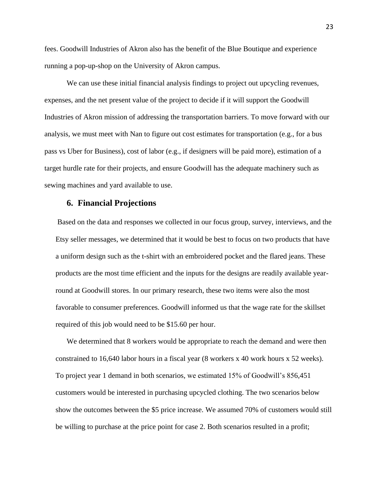fees. Goodwill Industries of Akron also has the benefit of the Blue Boutique and experience running a pop-up-shop on the University of Akron campus.

We can use these initial financial analysis findings to project out upcycling revenues, expenses, and the net present value of the project to decide if it will support the Goodwill Industries of Akron mission of addressing the transportation barriers. To move forward with our analysis, we must meet with Nan to figure out cost estimates for transportation (e.g., for a bus pass vs Uber for Business), cost of labor (e.g., if designers will be paid more), estimation of a target hurdle rate for their projects, and ensure Goodwill has the adequate machinery such as sewing machines and yard available to use.

# **6. Financial Projections**

Based on the data and responses we collected in our focus group, survey, interviews, and the Etsy seller messages, we determined that it would be best to focus on two products that have a uniform design such as the t-shirt with an embroidered pocket and the flared jeans. These products are the most time efficient and the inputs for the designs are readily available yearround at Goodwill stores. In our primary research, these two items were also the most favorable to consumer preferences. Goodwill informed us that the wage rate for the skillset required of this job would need to be \$15.60 per hour.

We determined that 8 workers would be appropriate to reach the demand and were then constrained to 16,640 labor hours in a fiscal year (8 workers x 40 work hours x 52 weeks). To project year 1 demand in both scenarios, we estimated 15% of Goodwill's 856,451 customers would be interested in purchasing upcycled clothing. The two scenarios below show the outcomes between the \$5 price increase. We assumed 70% of customers would still be willing to purchase at the price point for case 2. Both scenarios resulted in a profit;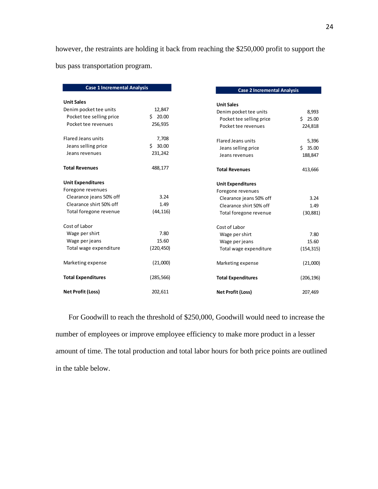however, the restraints are holding it back from reaching the \$250,000 profit to support the bus pass transportation program.

| <b>Case 1 Incremental Analysis</b> |             | <b>Case 2 Incremental Analysis</b>                 |            |
|------------------------------------|-------------|----------------------------------------------------|------------|
| <b>Unit Sales</b>                  |             |                                                    |            |
| Denim pocket tee units             | 12,847      | <b>Unit Sales</b>                                  |            |
| Pocket tee selling price           | \$20.00     | Denim pocket tee units<br>Pocket tee selling price | Ś.         |
| Pocket tee revenues                | 256,935     | Pocket tee revenues                                |            |
|                                    |             |                                                    | 224,818    |
| <b>Flared Jeans units</b>          | 7,708       | <b>Flared Jeans units</b>                          |            |
| Jeans selling price                | 30.00<br>Ś. | Jeans selling price                                | Ś.         |
| Jeans revenues                     | 231,242     | Jeans revenues                                     | 188,847    |
| <b>Total Revenues</b>              | 488,177     | <b>Total Revenues</b>                              | 413,666    |
| <b>Unit Expenditures</b>           |             | <b>Unit Expenditures</b>                           |            |
| Foregone revenues                  |             | Foregone revenues                                  |            |
| Clearance jeans 50% off            | 3.24        | Clearance jeans 50% off                            |            |
| Clearance shirt 50% off            | 1.49        | Clearance shirt 50% off                            |            |
| Total foregone revenue             | (44, 116)   | Total foregone revenue                             |            |
| Cost of Labor                      |             | Cost of Labor                                      |            |
| Wage per shirt                     | 7.80        | Wage per shirt                                     |            |
| Wage per jeans                     | 15.60       | Wage per jeans                                     |            |
| Total wage expenditure             | (220, 450)  | Total wage expenditure                             | (154, 315) |
| Marketing expense                  | (21,000)    | Marketing expense                                  |            |
| <b>Total Expenditures</b>          | (285, 566)  | <b>Total Expenditures</b>                          | (206, 196) |
| <b>Net Profit (Loss)</b>           | 202,611     | <b>Net Profit (Loss)</b>                           | 207,469    |

For Goodwill to reach the threshold of \$250,000, Goodwill would need to increase the number of employees or improve employee efficiency to make more product in a lesser amount of time. The total production and total labor hours for both price points are outlined in the table below.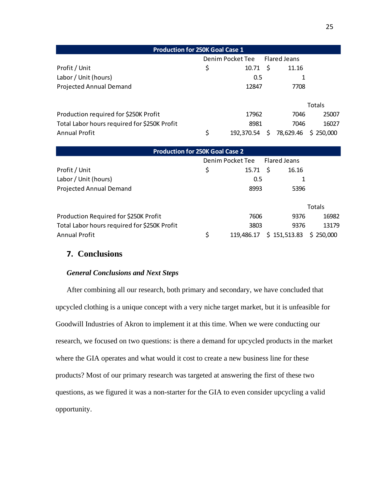| <b>Production for 250K Goal Case 1</b>       |                  |              |    |           |           |  |  |  |  |  |  |
|----------------------------------------------|------------------|--------------|----|-----------|-----------|--|--|--|--|--|--|
|                                              | Denim Pocket Tee | Flared Jeans |    |           |           |  |  |  |  |  |  |
| Profit / Unit                                | \$               | 10.71        | -S | 11.16     |           |  |  |  |  |  |  |
| Labor / Unit (hours)                         |                  | 0.5          |    |           |           |  |  |  |  |  |  |
| <b>Projected Annual Demand</b>               |                  | 12847        |    | 7708      |           |  |  |  |  |  |  |
|                                              |                  |              |    |           |           |  |  |  |  |  |  |
|                                              |                  |              |    |           | Totals    |  |  |  |  |  |  |
| Production required for \$250K Profit        |                  | 17962        |    | 7046      | 25007     |  |  |  |  |  |  |
| Total Labor hours required for \$250K Profit |                  | 8981         |    | 7046      | 16027     |  |  |  |  |  |  |
| <b>Annual Profit</b>                         | \$               | 192.370.54   |    | 78,629.46 | \$250,000 |  |  |  |  |  |  |

| <b>Production for 250K Goal Case 2</b>       |    |                  |                     |           |  |  |  |  |  |  |  |
|----------------------------------------------|----|------------------|---------------------|-----------|--|--|--|--|--|--|--|
|                                              |    | Denim Pocket Tee | <b>Flared Jeans</b> |           |  |  |  |  |  |  |  |
| Profit / Unit                                | \$ | 15.71            | -\$<br>16.16        |           |  |  |  |  |  |  |  |
| Labor / Unit (hours)                         |    | 0.5              |                     |           |  |  |  |  |  |  |  |
| <b>Projected Annual Demand</b>               |    | 8993             | 5396                |           |  |  |  |  |  |  |  |
|                                              |    |                  |                     | Totals    |  |  |  |  |  |  |  |
| Production Required for \$250K Profit        |    | 7606             | 9376                | 16982     |  |  |  |  |  |  |  |
| Total Labor hours required for \$250K Profit |    | 3803             | 9376                | 13179     |  |  |  |  |  |  |  |
| <b>Annual Profit</b>                         | \$ | 119,486.17       | \$151,513.83        | \$250,000 |  |  |  |  |  |  |  |

# **7. Conclusions**

# *General Conclusions and Next Steps*

After combining all our research, both primary and secondary, we have concluded that upcycled clothing is a unique concept with a very niche target market, but it is unfeasible for Goodwill Industries of Akron to implement it at this time. When we were conducting our research, we focused on two questions: is there a demand for upcycled products in the market where the GIA operates and what would it cost to create a new business line for these products? Most of our primary research was targeted at answering the first of these two questions, as we figured it was a non-starter for the GIA to even consider upcycling a valid opportunity.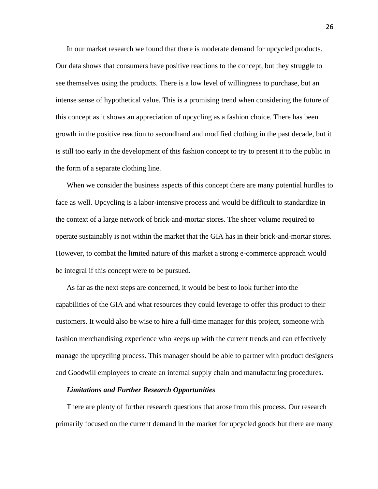In our market research we found that there is moderate demand for upcycled products. Our data shows that consumers have positive reactions to the concept, but they struggle to see themselves using the products. There is a low level of willingness to purchase, but an intense sense of hypothetical value. This is a promising trend when considering the future of this concept as it shows an appreciation of upcycling as a fashion choice. There has been growth in the positive reaction to secondhand and modified clothing in the past decade, but it is still too early in the development of this fashion concept to try to present it to the public in the form of a separate clothing line.

When we consider the business aspects of this concept there are many potential hurdles to face as well. Upcycling is a labor-intensive process and would be difficult to standardize in the context of a large network of brick-and-mortar stores. The sheer volume required to operate sustainably is not within the market that the GIA has in their brick-and-mortar stores. However, to combat the limited nature of this market a strong e-commerce approach would be integral if this concept were to be pursued.

As far as the next steps are concerned, it would be best to look further into the capabilities of the GIA and what resources they could leverage to offer this product to their customers. It would also be wise to hire a full-time manager for this project, someone with fashion merchandising experience who keeps up with the current trends and can effectively manage the upcycling process. This manager should be able to partner with product designers and Goodwill employees to create an internal supply chain and manufacturing procedures.

#### *Limitations and Further Research Opportunities*

There are plenty of further research questions that arose from this process. Our research primarily focused on the current demand in the market for upcycled goods but there are many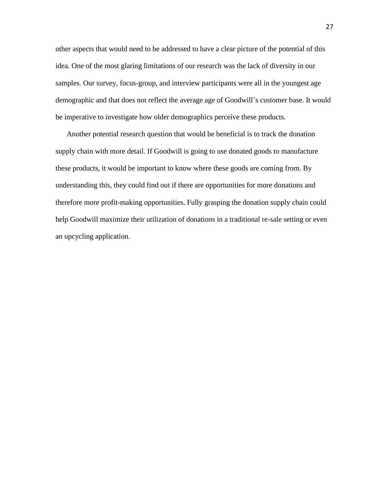other aspects that would need to be addressed to have a clear picture of the potential of this idea. One of the most glaring limitations of our research was the lack of diversity in our samples. Our survey, focus-group, and interview participants were all in the youngest age demographic and that does not reflect the average age of Goodwill's customer base. It would be imperative to investigate how older demographics perceive these products.

Another potential research question that would be beneficial is to track the donation supply chain with more detail. If Goodwill is going to use donated goods to manufacture these products, it would be important to know where these goods are coming from. By understanding this, they could find out if there are opportunities for more donations and therefore more profit-making opportunities. Fully grasping the donation supply chain could help Goodwill maximize their utilization of donations in a traditional re-sale setting or even an upcycling application.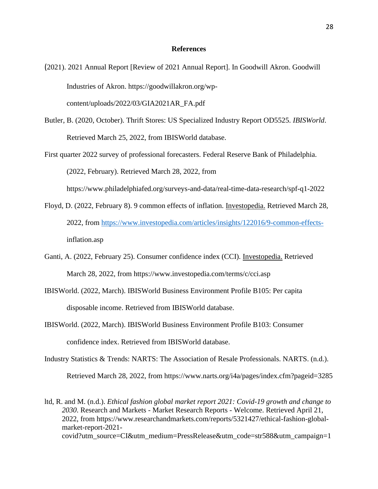#### **References**

(2021). 2021 Annual Report [Review of 2021 Annual Report]. In Goodwill Akron. Goodwill Industries of Akron. https://goodwillakron.org/wpcontent/uploads/2022/03/GIA2021AR\_FA.pdf

Butler, B. (2020, October). Thrift Stores: US Specialized Industry Report OD5525. *IBISWorld*. Retrieved March 25, 2022, from IBISWorld database.

First quarter 2022 survey of professional forecasters. Federal Reserve Bank of Philadelphia. (2022, February). Retrieved March 28, 2022, from https://www.philadelphiafed.org/surveys-and-data/real-time-data-research/spf-q1-2022

- Floyd, D. (2022, February 8). 9 common effects of inflation. Investopedia. Retrieved March 28, 2022, from [https://www.investopedia.com/articles/insights/122016/9-common-effects](https://www.investopedia.com/articles/insights/122016/9-common-effects-)inflation.asp
- Ganti, A. (2022, February 25). Consumer confidence index (CCI). Investopedia. Retrieved March 28, 2022, from https://www.investopedia.com/terms/c/cci.asp
- IBISWorld. (2022, March). IBISWorld Business Environment Profile B105: Per capita disposable income. Retrieved from IBISWorld database.

IBISWorld. (2022, March). IBISWorld Business Environment Profile B103: Consumer confidence index. Retrieved from IBISWorld database.

Industry Statistics & Trends: NARTS: The Association of Resale Professionals. NARTS. (n.d.). Retrieved March 28, 2022, from https://www.narts.org/i4a/pages/index.cfm?pageid=3285

ltd, R. and M. (n.d.). *Ethical fashion global market report 2021: Covid-19 growth and change to 2030*. Research and Markets - Market Research Reports - Welcome. Retrieved April 21, 2022, from https://www.researchandmarkets.com/reports/5321427/ethical-fashion-globalmarket-report-2021 covid?utm\_source=CI&utm\_medium=PressRelease&utm\_code=str588&utm\_campaign=1